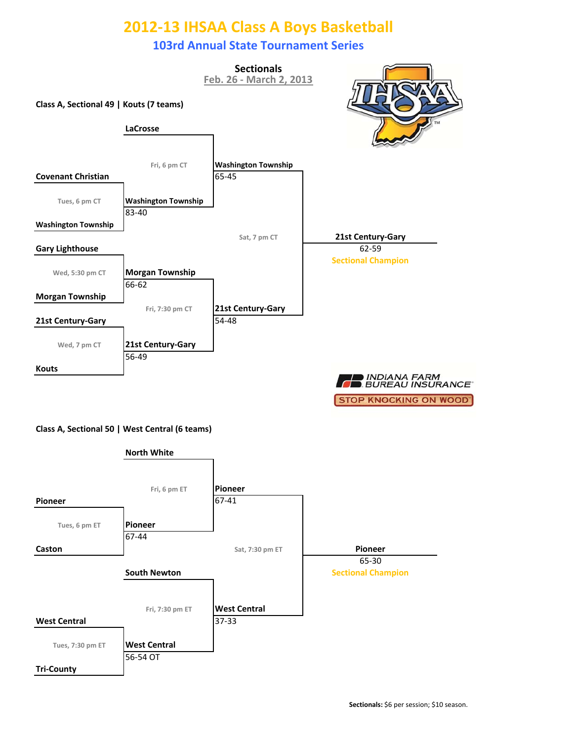### **103rd Annual State Tournament Series**



**STOP KNOCKING ON WOOD'** 

#### **Class A, Sectional 50 | West Central (6 teams)**

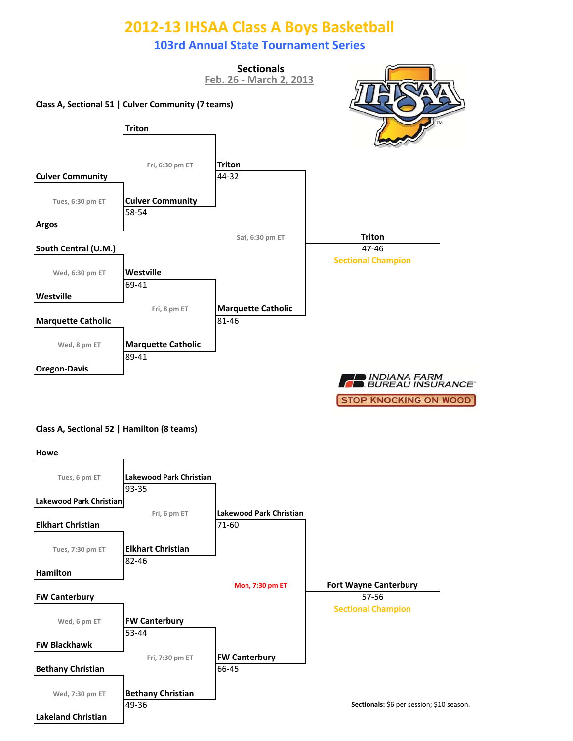### **103rd Annual State Tournament Series**



#### **Class A, Sectional 52 | Hamilton (8 teams)**

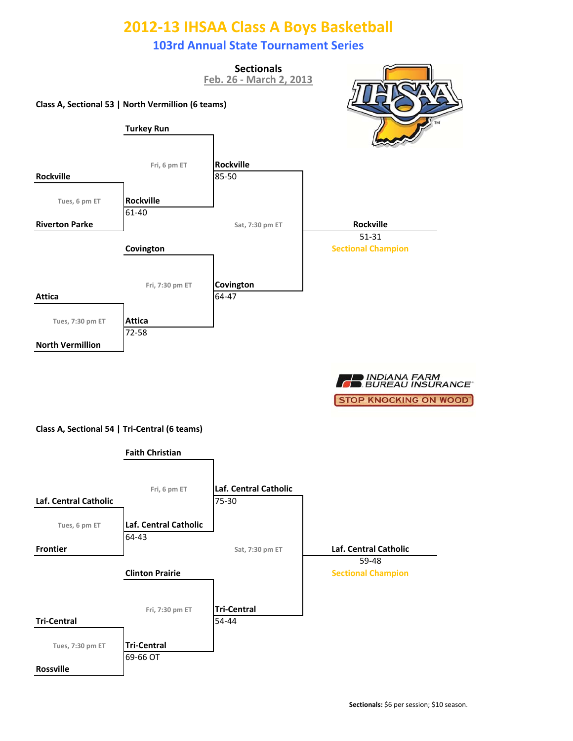### **103rd Annual State Tournament Series**





#### **Class A, Sectional 54 | Tri‐Central (6 teams)**

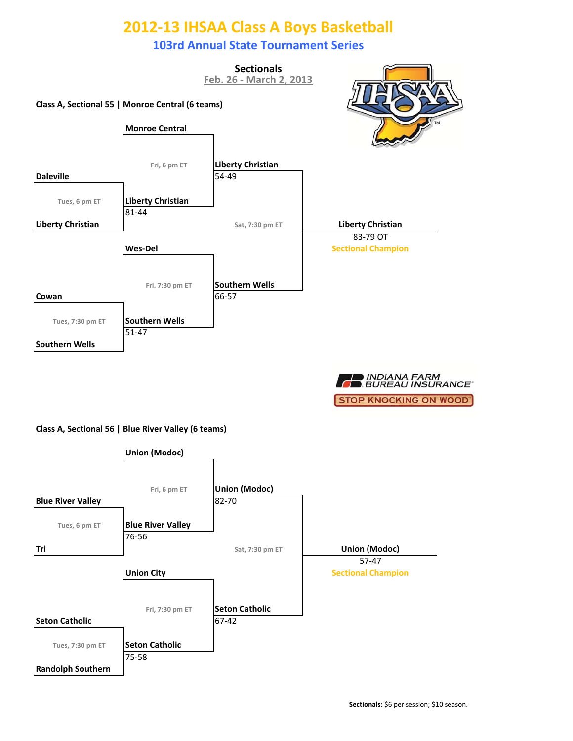### **103rd Annual State Tournament Series**



■ INDIANA FARM<br>■ BUREAU INSURANCE **STOP KNOCKING ON WOOD'** 

#### **Class A, Sectional 56 | Blue River Valley (6 teams)**

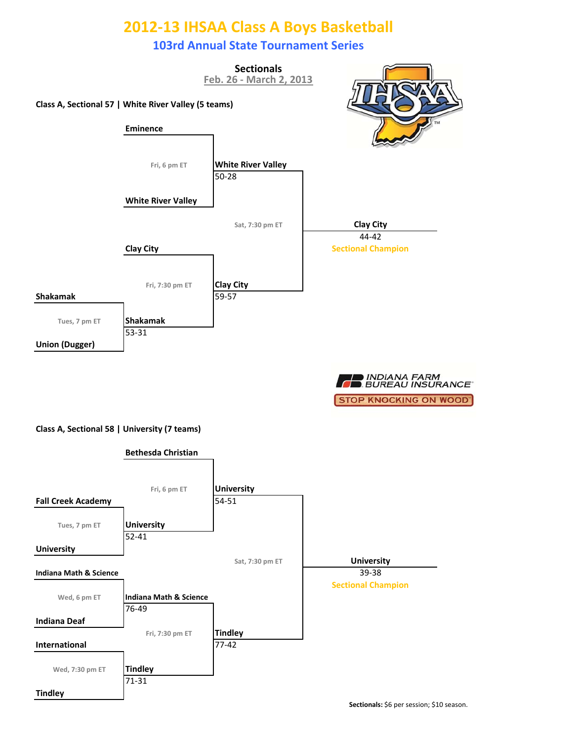### **103rd Annual State Tournament Series**



■ INDIANA FARM<br>■ BUREAU INSURANCE **STOP KNOCKING ON WOOD'** 

#### **Class A, Sectional 58 | University (7 teams)**

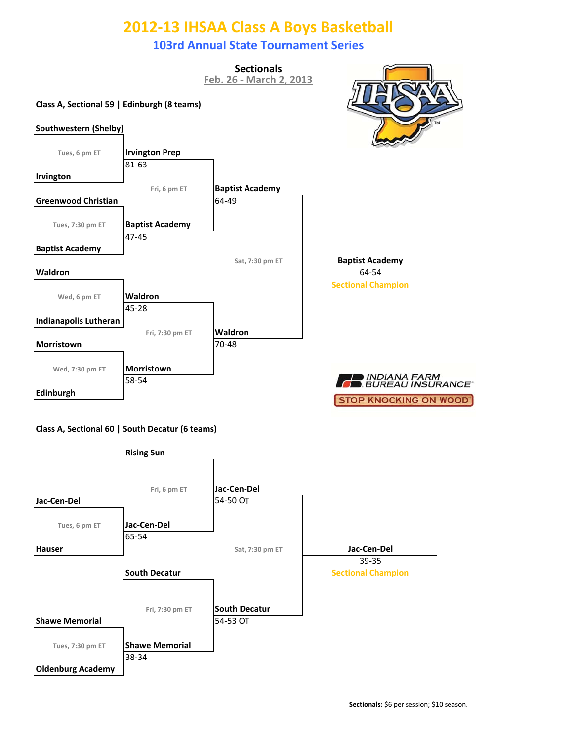### **103rd Annual State Tournament Series**

**Sectionals**

**Class A, Sectional 59 | Edinburgh (8 teams) Irvington Prep Feb. 26 ‐ March 2, 2013 Tues, 7:30 pm ET Baptist Academy** 64‐49 **Fri, 6 pm ET Baptist Academy**





81‐63

47‐45

**Baptist Academy**

**Irvington**

**Southwestern (Shelby)**

**Tues, 6 pm ET**

**Greenwood Christian**

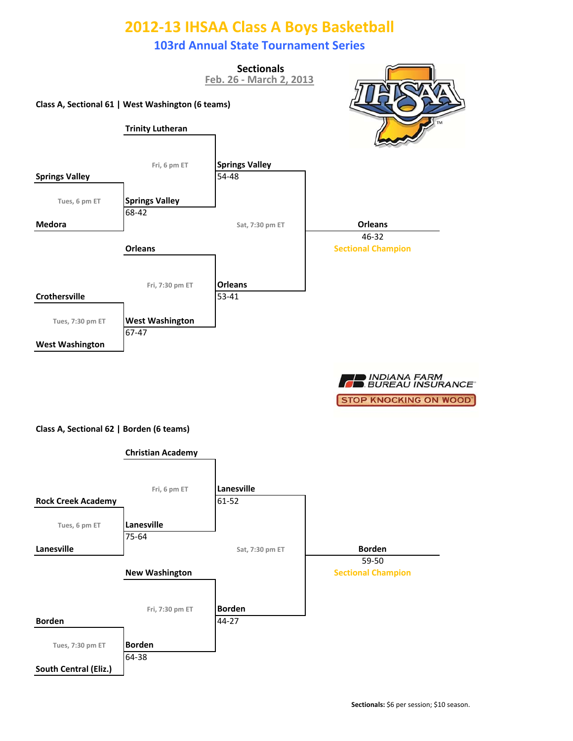### **103rd Annual State Tournament Series**



■ INDIANA FARM<br>■ BUREAU INSURANCE **STOP KNOCKING ON WOOD'** 

#### **Class A, Sectional 62 | Borden (6 teams)**